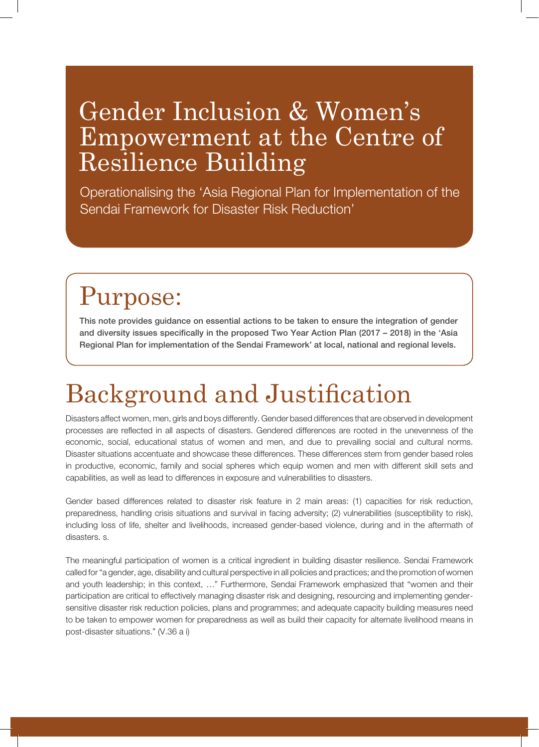### Gender Inclusion & Women's Empowerment at the Centre of Resilience Building

Operationalising the 'Asia Regional Plan for Implementation of the Sendai Framework for Disaster Risk Reduction'

### Purpose:

This note provides guidance on essential actions to be taken to ensure the integration of gender and diversity issues specifically in the proposed Two Year Action Plan (2017 – 2018) in the 'Asia Regional Plan for implementation of the Sendai Framework' at local, national and regional levels.

## Background and Justification

Disasters affect women, men, girls and boys differently. Gender based differences that are observed in development processes are reflected in all aspects of disasters. Gendered differences are rooted in the unevenness of the economic, social, educational status of women and men, and due to prevailing social and cultural norms. Disaster situations accentuate and showcase these differences. These differences stem from gender based roles in productive, economic, family and social spheres which equip women and men with different skill sets and capabilities, as well as lead to differences in exposure and vulnerabilities to disasters.

Gender based differences related to disaster risk feature in 2 main areas: (1) capacities for risk reduction, preparedness, handling crisis situations and survival in facing adversity; (2) vulnerabilities (susceptibility to risk), including loss of life, shelter and livelihoods, increased gender-based violence, during and in the aftermath of disasters. s.

The meaningful participation of women is a critical ingredient in building disaster resilience. Sendai Framework called for "a gender, age, disability and cultural perspective in all policies and practices; and the promotion of women and youth leadership; in this context, …" Furthermore, Sendai Framework emphasized that "women and their participation are critical to effectively managing disaster risk and designing, resourcing and implementing gendersensitive disaster risk reduction policies, plans and programmes; and adequate capacity building measures need to be taken to empower women for preparedness as well as build their capacity for alternate livelihood means in post-disaster situations." (V.36 a i)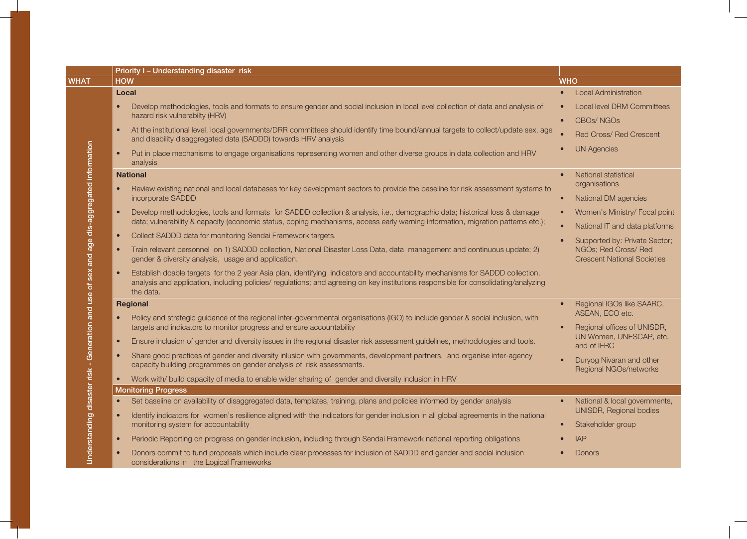|                                                                                            | Priority I - Understanding disaster risk                                                                                                                                                                                                                                         |                                                                                             |
|--------------------------------------------------------------------------------------------|----------------------------------------------------------------------------------------------------------------------------------------------------------------------------------------------------------------------------------------------------------------------------------|---------------------------------------------------------------------------------------------|
| <b>WHAT</b>                                                                                | <b>HOW</b>                                                                                                                                                                                                                                                                       | <b>WHO</b>                                                                                  |
|                                                                                            | Local                                                                                                                                                                                                                                                                            | <b>Local Administration</b>                                                                 |
|                                                                                            | Develop methodologies, tools and formats to ensure gender and social inclusion in local level collection of data and analysis of<br>hazard risk vulnerabilty (HRV)                                                                                                               | Local level DRM Committees<br>$\bullet$<br>CBO <sub>s</sub> /NGO <sub>s</sub><br>$\bullet$  |
|                                                                                            | At the institutional level, local governments/DRR committees should identify time bound/annual targets to collect/update sex, age<br>and disability disaggregated data (SADDD) towards HRV analysis                                                                              | $\bullet$<br><b>Red Cross/ Red Crescent</b>                                                 |
|                                                                                            | Put in place mechanisms to engage organisations representing women and other diverse groups in data collection and HRV<br>$\bullet$<br>analysis                                                                                                                                  | <b>UN Agencies</b>                                                                          |
|                                                                                            | <b>National</b>                                                                                                                                                                                                                                                                  | National statistical                                                                        |
|                                                                                            | Review existing national and local databases for key development sectors to provide the baseline for risk assessment systems to<br>incorporate SADDD                                                                                                                             | organisations<br>National DM agencies<br>$\bullet$                                          |
|                                                                                            |                                                                                                                                                                                                                                                                                  |                                                                                             |
|                                                                                            | Develop methodologies, tools and formats for SADDD collection & analysis, i.e., demographic data; historical loss & damage<br>$\bullet$<br>data; vulnerability & capacity (economic status, coping mechanisms, access early warning information, migration patterns etc.);       | Women's Ministry/ Focal point<br>$\bullet$                                                  |
|                                                                                            | Collect SADDD data for monitoring Sendai Framework targets.<br>$\bullet$                                                                                                                                                                                                         | National IT and data platforms                                                              |
|                                                                                            | Train relevant personnel on 1) SADDD collection, National Disaster Loss Data, data management and continuous update; 2)<br>$\bullet$<br>gender & diversity analysis, usage and application.                                                                                      | Supported by: Private Sector;<br>NGOs; Red Cross/ Red<br><b>Crescent National Societies</b> |
| Understanding disaster risk - Generation and use of sex and age dis-aggregated information | Establish doable targets for the 2 year Asia plan, identifying indicators and accountability mechanisms for SADDD collection,<br>analysis and application, including policies/regulations; and agreeing on key institutions responsible for consolidating/analyzing<br>the data. |                                                                                             |
|                                                                                            | Regional                                                                                                                                                                                                                                                                         | Regional IGOs like SAARC,                                                                   |
|                                                                                            | Policy and strategic guidance of the regional inter-governmental organisations (IGO) to include gender & social inclusion, with<br>targets and indicators to monitor progress and ensure accountability                                                                          | ASEAN, ECO etc.<br>Regional offices of UNISDR,                                              |
|                                                                                            | Ensure inclusion of gender and diversity issues in the regional disaster risk assessment guidelines, methodologies and tools.                                                                                                                                                    | UN Women, UNESCAP, etc.<br>and of IFRC                                                      |
|                                                                                            | Share good practices of gender and diversity inlusion with governments, development partners, and organise inter-agency<br>$\bullet$<br>capacity building programmes on gender analysis of risk assessments.                                                                     | Duryog Nivaran and other<br>Regional NGOs/networks                                          |
|                                                                                            | Work with/ build capacity of media to enable wider sharing of gender and diversity inclusion in HRV                                                                                                                                                                              |                                                                                             |
|                                                                                            | <b>Monitoring Progress</b>                                                                                                                                                                                                                                                       |                                                                                             |
|                                                                                            | Set baseline on availability of disaggregated data, templates, training, plans and policies informed by gender analysis                                                                                                                                                          | National & local governments,                                                               |
|                                                                                            | Identify indicators for women's resilience aligned with the indicators for gender inclusion in all global agreements in the national<br>monitoring system for accountability                                                                                                     | UNISDR, Regional bodies<br>Stakeholder group                                                |
|                                                                                            | Periodic Reporting on progress on gender inclusion, including through Sendai Framework national reporting obligations                                                                                                                                                            | <b>IAP</b>                                                                                  |
|                                                                                            | Donors commit to fund proposals which include clear processes for inclusion of SADDD and gender and social inclusion<br>considerations in the Logical Frameworks                                                                                                                 | <b>Donors</b>                                                                               |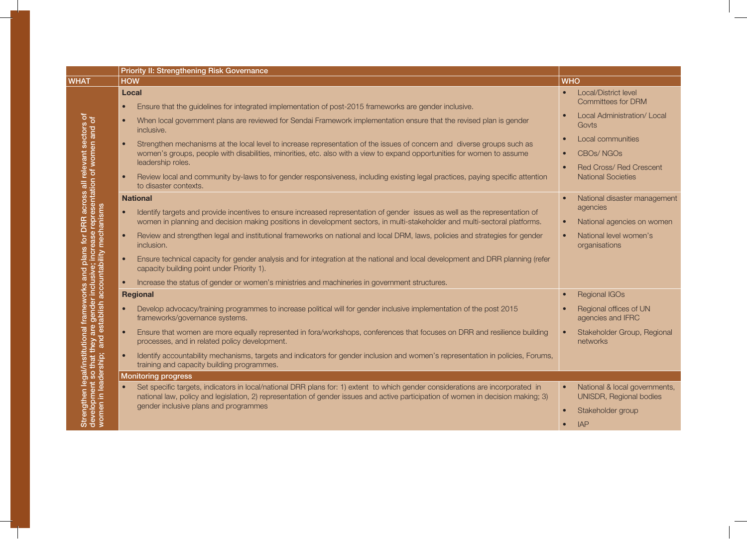|                                                        | Priority II: Strengthening Risk Governance                                                                                                                                                                                                                              |                                                                       |
|--------------------------------------------------------|-------------------------------------------------------------------------------------------------------------------------------------------------------------------------------------------------------------------------------------------------------------------------|-----------------------------------------------------------------------|
| <b>WHAT</b>                                            | <b>HOW</b>                                                                                                                                                                                                                                                              | <b>WHO</b>                                                            |
|                                                        | Local                                                                                                                                                                                                                                                                   | Local/District level<br>$\bullet$<br><b>Committees for DRM</b>        |
| cross all relevant sectors<br>sentation of women and o | Ensure that the guidelines for integrated implementation of post-2015 frameworks are gender inclusive.<br>$\bullet$<br>When local government plans are reviewed for Sendai Framework implementation ensure that the revised plan is gender<br>$\bullet$<br>inclusive.   | Local Administration/ Local<br>Govts                                  |
|                                                        | Strengthen mechanisms at the local level to increase representation of the issues of concern and diverse groups such as<br>women's groups, people with disabilities, minorities, etc. also with a view to expand opportunities for women to assume<br>leadership roles. | Local communities<br><b>CBOs/NGOs</b><br>Red Cross/ Red Crescent      |
|                                                        | Review local and community by-laws to for gender responsiveness, including existing legal practices, paying specific attention<br>$\bullet$<br>to disaster contexts.                                                                                                    | <b>National Societies</b>                                             |
| <b>DRR</b> across<br>Ö                                 | <b>National</b><br>Identify targets and provide incentives to ensure increased representation of gender issues as well as the representation of                                                                                                                         | National disaster management<br>agencies                              |
|                                                        | women in planning and decision making positions in development sectors, in multi-stakeholder and multi-sectoral platforms.                                                                                                                                              | National agencies on women<br>$\bullet$                               |
| for                                                    | Review and strengthen legal and institutional frameworks on national and local DRM, laws, policies and strategies for gender<br>$\bullet$<br>inclusion.                                                                                                                 | National level women's<br>$\bullet$<br>organisations                  |
| accountability mechanisms<br>plans<br>and              | Ensure technical capacity for gender analysis and for integration at the national and local development and DRR planning (refer<br>capacity building point under Priority 1).                                                                                           |                                                                       |
|                                                        | Increase the status of gender or women's ministries and machineries in government structures.                                                                                                                                                                           |                                                                       |
|                                                        | Regional                                                                                                                                                                                                                                                                | <b>Regional IGOs</b><br>$\bullet$                                     |
| gender<br>tablish                                      | Develop advocacy/training programmes to increase political will for gender inclusive implementation of the post 2015<br>frameworks/governance systems.                                                                                                                  | Regional offices of UN<br>agencies and IFRC                           |
| are<br>I est<br>and                                    | Ensure that women are more equally represented in fora/workshops, conferences that focuses on DRR and resilience building<br>$\bullet$<br>processes, and in related policy development.                                                                                 | Stakeholder Group, Regional<br>networks                               |
| in leadership;                                         | Identify accountability mechanisms, targets and indicators for gender inclusion and women's representation in policies, Forums,<br>training and capacity building programmes.                                                                                           |                                                                       |
|                                                        | <b>Monitoring progress</b>                                                                                                                                                                                                                                              |                                                                       |
| gthen legal/institutional<br>lopment so that they are  | Set specific targets, indicators in local/national DRR plans for: 1) extent to which gender considerations are incorporated in<br>national law, policy and legislation, 2) representation of gender issues and active participation of women in decision making; 3)     | National & local governments,<br>$\bullet$<br>UNISDR, Regional bodies |
| ΘÑ                                                     | gender inclusive plans and programmes                                                                                                                                                                                                                                   | Stakeholder group<br>$\bullet$                                        |
| ភី ី ≶                                                 |                                                                                                                                                                                                                                                                         | <b>IAP</b>                                                            |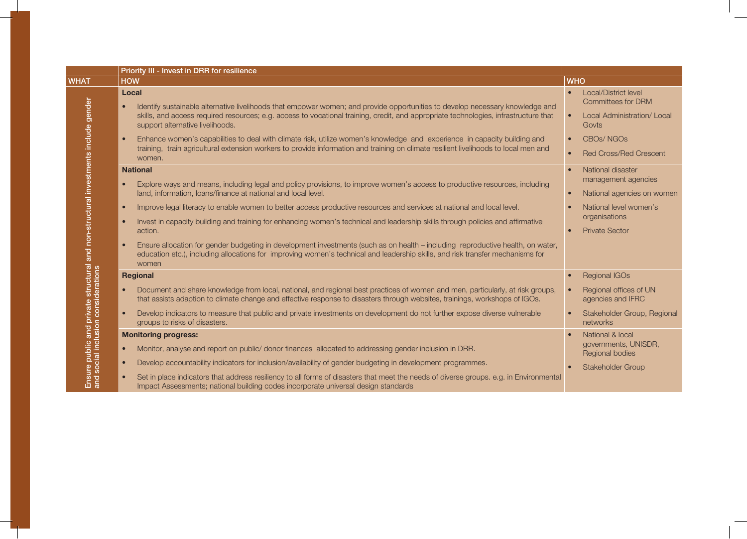|                                                                  | Priority III - Invest in DRR for resilience                                                                                                                                                                                                                                                                                                                                                                                                                                                                                                                                                                                                                                                                                                                                                                               |                                                                                                                                                                  |
|------------------------------------------------------------------|---------------------------------------------------------------------------------------------------------------------------------------------------------------------------------------------------------------------------------------------------------------------------------------------------------------------------------------------------------------------------------------------------------------------------------------------------------------------------------------------------------------------------------------------------------------------------------------------------------------------------------------------------------------------------------------------------------------------------------------------------------------------------------------------------------------------------|------------------------------------------------------------------------------------------------------------------------------------------------------------------|
| <b>WHAT</b>                                                      | <b>HOW</b>                                                                                                                                                                                                                                                                                                                                                                                                                                                                                                                                                                                                                                                                                                                                                                                                                | <b>WHO</b>                                                                                                                                                       |
| and non-structural investments include gender                    | Local<br>Identify sustainable alternative livelihoods that empower women; and provide opportunities to develop necessary knowledge and<br>$\bullet$<br>skills, and access required resources; e.g. access to vocational training, credit, and appropriate technologies, infrastructure that<br>support alternative livelihoods.<br>Enhance women's capabilities to deal with climate risk, utilize women's knowledge and experience in capacity building and<br>$\bullet$<br>training, train agricultural extension workers to provide information and training on climate resilient livelihoods to local men and<br>women.                                                                                                                                                                                               | Local/District level<br><b>Committees for DRM</b><br>Local Administration/ Local<br>Govts<br>CBO <sub>s</sub> /NGO <sub>s</sub><br><b>Red Cross/Red Crescent</b> |
|                                                                  | <b>National</b><br>Explore ways and means, including legal and policy provisions, to improve women's access to productive resources, including<br>$\bullet$<br>land, information, loans/finance at national and local level.<br>Improve legal literacy to enable women to better access productive resources and services at national and local level.<br>$\bullet$<br>Invest in capacity building and training for enhancing women's technical and leadership skills through policies and affirmative<br>$\bullet$<br>action.<br>Ensure allocation for gender budgeting in development investments (such as on health - including reproductive health, on water,<br>$\bullet$<br>education etc.), including allocations for improving women's technical and leadership skills, and risk transfer mechanisms for<br>women | National disaster<br>management agencies<br>National agencies on women<br>National level women's<br>organisations<br><b>Private Sector</b>                       |
| structural<br>iderations                                         | <b>Regional</b><br>Document and share knowledge from local, national, and regional best practices of women and men, particularly, at risk groups,<br>that assists adaption to climate change and effective response to disasters through websites, trainings, workshops of IGOs.<br>Develop indicators to measure that public and private investments on development do not further expose diverse vulnerable<br>groups to risks of disasters.                                                                                                                                                                                                                                                                                                                                                                            | <b>Regional IGOs</b><br>Regional offices of UN<br>agencies and IFRC<br>Stakeholder Group, Regional<br>networks                                                   |
| public and private<br>cial inclusion consi<br>g ș<br>Ensi<br>and | <b>Monitoring progress:</b><br>Monitor, analyse and report on public/ donor finances allocated to addressing gender inclusion in DRR.<br>$\bullet$<br>Develop accountability indicators for inclusion/availability of gender budgeting in development programmes.<br>$\bullet$<br>Set in place indicators that address resiliency to all forms of disasters that meet the needs of diverse groups. e.g. in Environmental<br>Impact Assessments; national building codes incorporate universal design standards                                                                                                                                                                                                                                                                                                            | National & local<br>governments, UNISDR,<br>Regional bodies<br>Stakeholder Group                                                                                 |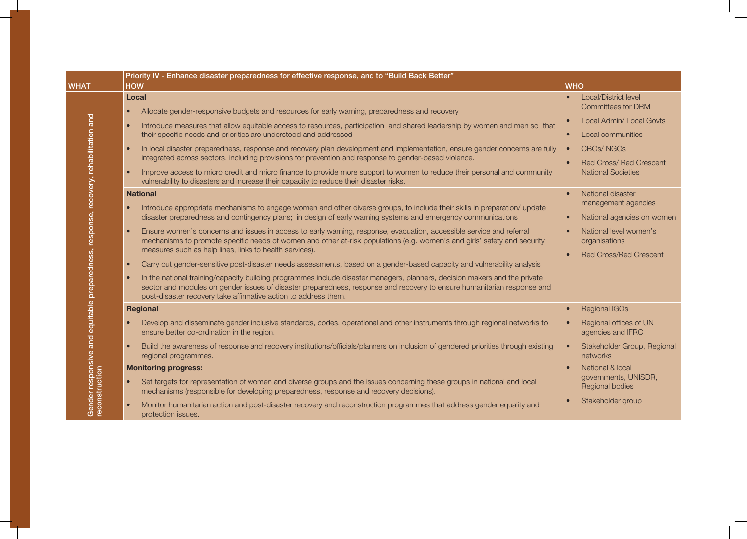|                                                                                                        | Priority IV - Enhance disaster preparedness for effective response, and to "Build Back Better"                                                                                                                                                                                                                                                                   |                                                                                 |
|--------------------------------------------------------------------------------------------------------|------------------------------------------------------------------------------------------------------------------------------------------------------------------------------------------------------------------------------------------------------------------------------------------------------------------------------------------------------------------|---------------------------------------------------------------------------------|
| <b>WHAT</b>                                                                                            | <b>HOW</b>                                                                                                                                                                                                                                                                                                                                                       | <b>WHO</b>                                                                      |
| Gender responsive and equitable preparedness, response, recovery, rehabilitation and<br>reconstruction | Local<br>Allocate gender-responsive budgets and resources for early warning, preparedness and recovery<br>$\bullet$                                                                                                                                                                                                                                              | <b>Local/District level</b><br><b>Committees for DRM</b>                        |
|                                                                                                        | Introduce measures that allow equitable access to resources, participation and shared leadership by women and men so that<br>$\bullet$<br>their specific needs and priorities are understood and addressed                                                                                                                                                       | Local Admin/Local Govts<br>Local communities                                    |
|                                                                                                        | In local disaster preparedness, response and recovery plan development and implementation, ensure gender concerns are fully<br>integrated across sectors, including provisions for prevention and response to gender-based violence.<br>Improve access to micro credit and micro finance to provide more support to women to reduce their personal and community | <b>CBOs/NGOs</b><br><b>Red Cross/ Red Crescent</b><br><b>National Societies</b> |
|                                                                                                        | vulnerability to disasters and increase their capacity to reduce their disaster risks.                                                                                                                                                                                                                                                                           |                                                                                 |
|                                                                                                        | <b>National</b><br>Introduce appropriate mechanisms to engage women and other diverse groups, to include their skills in preparation/update<br>disaster preparedness and contingency plans; in design of early warning systems and emergency communications                                                                                                      | National disaster<br>management agencies<br>National agencies on women          |
|                                                                                                        | Ensure women's concerns and issues in access to early warning, response, evacuation, accessible service and referral<br>mechanisms to promote specific needs of women and other at-risk populations (e.g. women's and girls' safety and security<br>measures such as help lines, links to health services).                                                      | National level women's<br>organisations<br><b>Red Cross/Red Crescent</b>        |
|                                                                                                        | Carry out gender-sensitive post-disaster needs assessments, based on a gender-based capacity and vulnerability analysis<br>$\bullet$                                                                                                                                                                                                                             |                                                                                 |
|                                                                                                        | In the national training/capacity building programmes include disaster managers, planners, decision makers and the private<br>sector and modules on gender issues of disaster preparedness, response and recovery to ensure humanitarian response and<br>post-disaster recovery take affirmative action to address them.                                         |                                                                                 |
|                                                                                                        | <b>Regional</b>                                                                                                                                                                                                                                                                                                                                                  | <b>Regional IGOs</b>                                                            |
|                                                                                                        | Develop and disseminate gender inclusive standards, codes, operational and other instruments through regional networks to<br>ensure better co-ordination in the region.                                                                                                                                                                                          | Regional offices of UN<br>agencies and IFRC                                     |
|                                                                                                        | Build the awareness of response and recovery institutions/officials/planners on inclusion of gendered priorities through existing<br>regional programmes.                                                                                                                                                                                                        | Stakeholder Group, Regional<br>networks                                         |
|                                                                                                        | <b>Monitoring progress:</b>                                                                                                                                                                                                                                                                                                                                      | National & local                                                                |
|                                                                                                        | Set targets for representation of women and diverse groups and the issues concerning these groups in national and local<br>$\bullet$<br>mechanisms (responsible for developing preparedness, response and recovery decisions).                                                                                                                                   | governments, UNISDR,<br>Regional bodies                                         |
|                                                                                                        | Monitor humanitarian action and post-disaster recovery and reconstruction programmes that address gender equality and<br>protection issues.                                                                                                                                                                                                                      | Stakeholder group                                                               |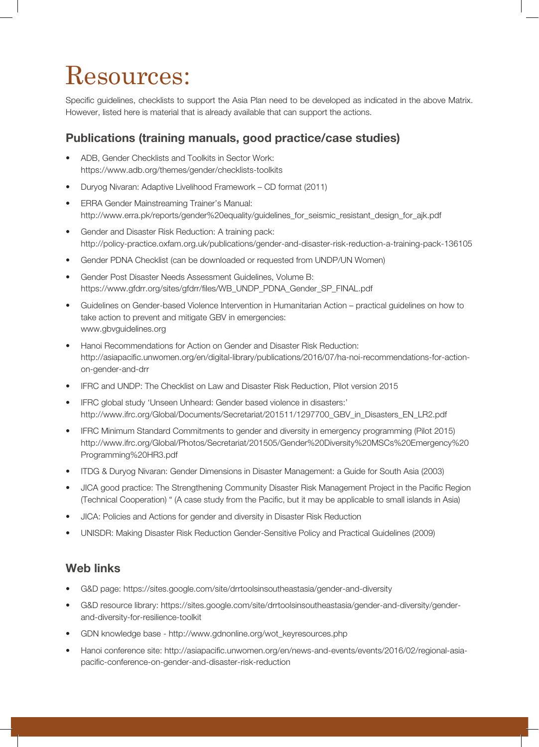## Resources:

Specific guidelines, checklists to support the Asia Plan need to be developed as indicated in the above Matrix. However, listed here is material that is already available that can support the actions.

#### Publications (training manuals, good practice/case studies)

- ADB, Gender Checklists and Toolkits in Sector Work: https://www.adb.org/themes/gender/checklists-toolkits
- Duryog Nivaran: Adaptive Livelihood Framework CD format (2011)
- • ERRA Gender Mainstreaming Trainer's Manual: http://www.erra.pk/reports/gender%20equality/guidelines\_for\_seismic\_resistant\_design\_for\_ajk.pdf
- Gender and Disaster Risk Reduction: A training pack: http://policy-practice.oxfam.org.uk/publications/gender-and-disaster-risk-reduction-a-training-pack-136105
- Gender PDNA Checklist (can be downloaded or requested from UNDP/UN Women)
- Gender Post Disaster Needs Assessment Guidelines, Volume B: https://www.gfdrr.org/sites/gfdrr/files/WB\_UNDP\_PDNA\_Gender\_SP\_FINAL.pdf
- Guidelines on Gender-based Violence Intervention in Humanitarian Action practical guidelines on how to take action to prevent and mitigate GBV in emergencies: www.gbvguidelines.org
- Hanoi Recommendations for Action on Gender and Disaster Risk Reduction: http://asiapacific.unwomen.org/en/digital-library/publications/2016/07/ha-noi-recommendations-for-actionon-gender-and-drr
- IFRC and UNDP: The Checklist on Law and Disaster Risk Reduction, Pilot version 2015
- IFRC global study 'Unseen Unheard: Gender based violence in disasters:' http://www.ifrc.org/Global/Documents/Secretariat/201511/1297700\_GBV\_in\_Disasters\_EN\_LR2.pdf
- IFRC Minimum Standard Commitments to gender and diversity in emergency programming (Pilot 2015) http://www.ifrc.org/Global/Photos/Secretariat/201505/Gender%20Diversity%20MSCs%20Emergency%20 Programming%20HR3.pdf
- ITDG & Duryog Nivaran: Gender Dimensions in Disaster Management: a Guide for South Asia (2003)
- JICA good practice: The Strengthening Community Disaster Risk Management Project in the Pacific Region (Technical Cooperation) " (A case study from the Pacific, but it may be applicable to small islands in Asia)
- JICA: Policies and Actions for gender and diversity in Disaster Risk Reduction
- UNISDR: Making Disaster Risk Reduction Gender-Sensitive Policy and Practical Guidelines (2009)

#### Web links

- • G&D page: https://sites.google.com/site/drrtoolsinsoutheastasia/gender-and-diversity
- G&D resource library: https://sites.google.com/site/drrtoolsinsoutheastasia/gender-and-diversity/genderand-diversity-for-resilience-toolkit
- GDN knowledge base http://www.gdnonline.org/wot\_keyresources.php
- Hanoi conference site: http://asiapacific.unwomen.org/en/news-and-events/events/2016/02/regional-asiapacific-conference-on-gender-and-disaster-risk-reduction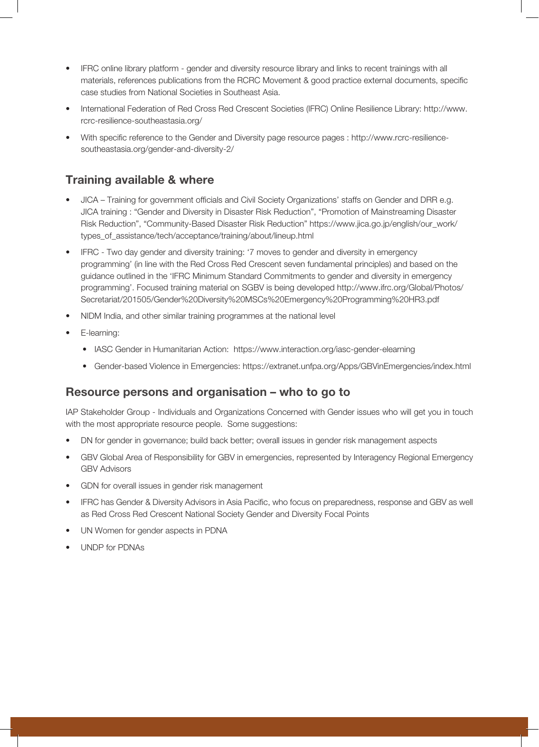- IFRC online library platform gender and diversity resource library and links to recent trainings with all materials, references publications from the RCRC Movement & good practice external documents, specific case studies from National Societies in Southeast Asia.
- • International Federation of Red Cross Red Crescent Societies (IFRC) Online Resilience Library: http://www. rcrc-resilience-southeastasia.org/
- With specific reference to the Gender and Diversity page resource pages : http://www.rcrc-resiliencesoutheastasia.org/gender-and-diversity-2/

#### Training available & where

- JICA Training for government officials and Civil Society Organizations' staffs on Gender and DRR e.g. JICA training : "Gender and Diversity in Disaster Risk Reduction", "Promotion of Mainstreaming Disaster Risk Reduction", "Community-Based Disaster Risk Reduction" https://www.jica.go.jp/english/our\_work/ types of assistance/tech/acceptance/training/about/lineup.html
- IFRC Two day gender and diversity training: '7 moves to gender and diversity in emergency programming' (in line with the Red Cross Red Crescent seven fundamental principles) and based on the guidance outlined in the 'IFRC Minimum Standard Commitments to gender and diversity in emergency programming'. Focused training material on SGBV is being developed http://www.ifrc.org/Global/Photos/ Secretariat/201505/Gender%20Diversity%20MSCs%20Emergency%20Programming%20HR3.pdf
- NIDM India, and other similar training programmes at the national level
- E-learning:
	- IASC Gender in Humanitarian Action: https://www.interaction.org/iasc-gender-elearning
	- • Gender-based Violence in Emergencies: https://extranet.unfpa.org/Apps/GBVinEmergencies/index.html

#### Resource persons and organisation – who to go to

IAP Stakeholder Group - Individuals and Organizations Concerned with Gender issues who will get you in touch with the most appropriate resource people. Some suggestions:

- DN for gender in governance; build back better; overall issues in gender risk management aspects
- GBV Global Area of Responsibility for GBV in emergencies, represented by Interagency Regional Emergency GBV Advisors
- GDN for overall issues in gender risk management
- IFRC has Gender & Diversity Advisors in Asia Pacific, who focus on preparedness, response and GBV as well as Red Cross Red Crescent National Society Gender and Diversity Focal Points
- UN Women for gender aspects in PDNA
- • UNDP for PDNAs